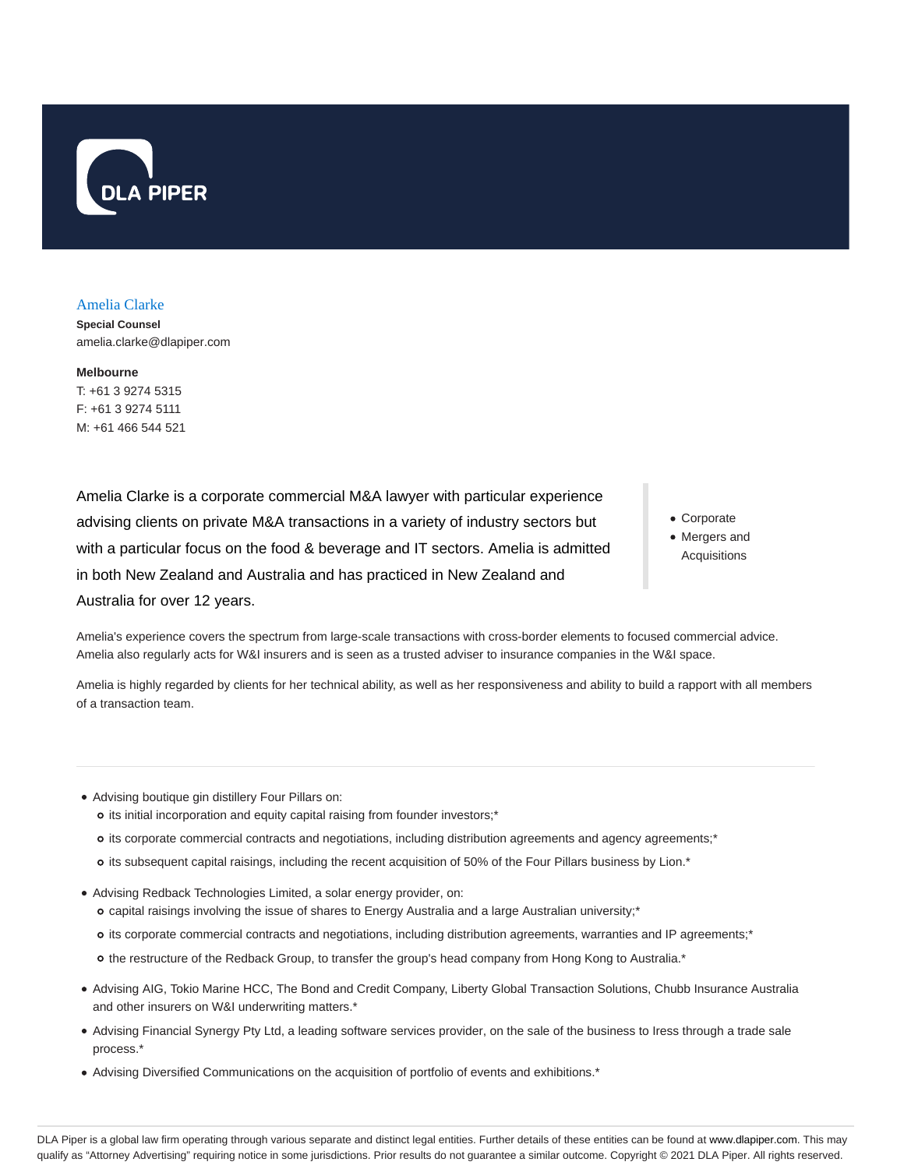

#### Amelia Clarke

**Special Counsel** amelia.clarke@dlapiper.com

**Melbourne** T: +61 3 9274 5315 F: +61 3 9274 5111 M: +61 466 544 521

Amelia Clarke is a corporate commercial M&A lawyer with particular experience advising clients on private M&A transactions in a variety of industry sectors but with a particular focus on the food & beverage and IT sectors. Amelia is admitted in both New Zealand and Australia and has practiced in New Zealand and Australia for over 12 years.

- Corporate
- Mergers and Acquisitions

Amelia's experience covers the spectrum from large-scale transactions with cross-border elements to focused commercial advice. Amelia also regularly acts for W&I insurers and is seen as a trusted adviser to insurance companies in the W&I space.

Amelia is highly regarded by clients for her technical ability, as well as her responsiveness and ability to build a rapport with all members of a transaction team.

- Advising boutique gin distillery Four Pillars on:
	- o its initial incorporation and equity capital raising from founder investors;\*
	- its corporate commercial contracts and negotiations, including distribution agreements and agency agreements;\*
	- o its subsequent capital raisings, including the recent acquisition of 50% of the Four Pillars business by Lion.\*
- Advising Redback Technologies Limited, a solar energy provider, on:
	- o capital raisings involving the issue of shares to Energy Australia and a large Australian university;\*
	- its corporate commercial contracts and negotiations, including distribution agreements, warranties and IP agreements;\*
	- o the restructure of the Redback Group, to transfer the group's head company from Hong Kong to Australia.\*
- Advising AIG, Tokio Marine HCC, The Bond and Credit Company, Liberty Global Transaction Solutions, Chubb Insurance Australia and other insurers on W&I underwriting matters.\*
- Advising Financial Synergy Pty Ltd, a leading software services provider, on the sale of the business to Iress through a trade sale process.\*
- Advising Diversified Communications on the acquisition of portfolio of events and exhibitions.\*